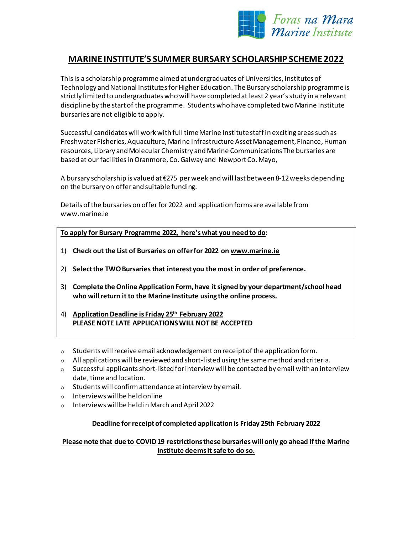

# **MARINE INSTITUTE'S SUMMER BURSARY SCHOLARSHIP SCHEME 2022**

This is a scholarship programme aimed at undergraduates of Universities, Institutes of Technology and National Institutes for Higher Education. The Bursary scholarship programmeis strictly limited to undergraduates who will have completed at least 2 year's study in a relevant disciplineby the start of the programme. Students who have completed two Marine Institute bursaries are not eligible to apply.

Successful candidates will work with full time Marine Institute staff in exciting areas such as Freshwater Fisheries, Aquaculture, Marine Infrastructure Asset Management, Finance, Human resources, Library and Molecular Chemistry and Marine Communications The bursaries are based at our facilities in Oranmore, Co.Galway and Newport Co. Mayo,

A bursary scholarship is valued at €275 per week and will last between 8-12 weeks depending on the bursary on offerand suitable funding.

Details of the bursaries on offer for 2022 and application forms are available from www.marine.ie

**To apply for Bursary Programme 2022, here's what you need to do:**

- 1) **Check out the List of Bursaries on offer for 2022 on [www.marine.ie](http://www.marine.ie/)**
- 2) **Select the TWO Bursaries that interest you the most in order of preference.**
- 3) **Complete the Online Application Form, have it signed by your department/school head who will return it to the Marine Institute using the online process.**
- 4) **Application Deadline is Friday 25th February 2022 PLEASE NOTE LATE APPLICATIONS WILL NOT BE ACCEPTED**
- $\circ$  Students will receive email acknowledgement on receipt of the application form.
- $\circ$  All applications will be reviewed and short-listed using the same method and criteria.
- $\circ$  Successful applicants short-listed for interview will be contacted by email with an interview date, time and location.
- o Students will confirm attendance at interview by email.
- $\circ$  Interviews will be held online
- o Interviews will be held in March and April 2022

#### **Deadline for receipt of completed application is Friday 25th February 2022**

## **Please note that due to COVID 19 restrictions these bursaries will only go ahead if the Marine Institute deems it safe to do so.**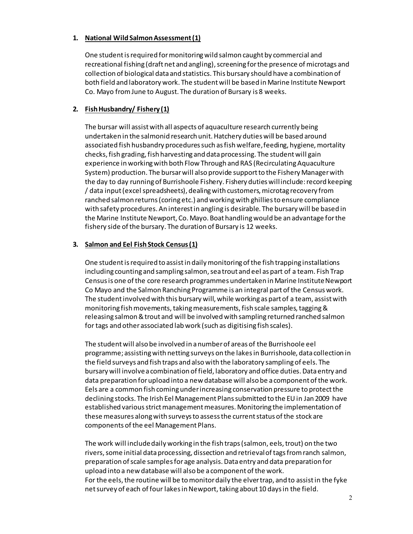#### **1. National Wild Salmon Assessment (1)**

One student is required for monitoring wild salmon caught by commercial and recreational fishing (draft net and angling), screening for the presence of microtags and collection of biological data and statistics. This bursary should have a combination of both field and laboratory work. The student will be based in Marine Institute Newport Co. Mayo from June to August. The duration of Bursary is 8 weeks.

## **2. Fish Husbandry/ Fishery (1)**

The bursar will assist with all aspects of aquaculture research currently being undertaken in the salmonid research unit. Hatchery duties will be based around associated fish husbandry procedures such as fish welfare, feeding, hygiene, mortality checks, fish grading, fish harvesting and data processing. The student will gain experience in working with both Flow Through and RAS (Recirculating Aquaculture System) production. The bursar will also provide support to the Fishery Manager with the day to day running of Burrishoole Fishery. Fishery duties will include: record keeping / data input (excel spreadsheets), dealing with customers, microtag recovery from ranched salmon returns (coring etc.) and working with ghillies to ensure compliance with safety procedures. An interest in angling is desirable. The bursary will be based in the Marine Institute Newport, Co. Mayo. Boat handling would be an advantage for the fishery side of the bursary. The duration of Bursary is 12 weeks.

## **3. Salmon and Eel Fish Stock Census(1)**

One student is required to assist in daily monitoring of the fish trapping installations including counting and sampling salmon, sea trout and eel as part of a team. Fish Trap Census is one of the core research programmes undertaken in Marine Institute Newport Co Mayo and the Salmon Ranching Programme is an integral part of the Census work. The student involved with this bursary will, while working as part of a team, assist with monitoring fish movements, taking measurements, fish scale samples, tagging & releasing salmon & trout and will be involved with sampling returned ranched salmon for tags and other associated lab work (such as digitising fish scales).

The student will also be involved in a number of areas of the Burrishoole eel programme; assisting with netting surveys on the lakes in Burrishoole, data collection in the field surveys and fish traps and also with the laboratory sampling of eels. The bursary will involve a combination of field, laboratory and office duties. Data entry and data preparation for upload into a new database will also be a component of the work. Eels are a common fish coming under increasing conservation pressure to protect the declining stocks. The Irish Eel Management Plans submitted to the EU in Jan 2009 have established various strict management measures. Monitoring the implementation of these measures along with surveys to assess the current status of the stock are components of the eel Management Plans.

The work will include daily working in the fish traps (salmon, eels, trout) on the two rivers, some initial data processing, dissection and retrieval of tags from ranch salmon, preparation of scale samples for age analysis.Data entry and data preparation for upload into a new database will also be a component of the work. For the eels, the routine will be to monitor daily the elver trap, and to assist in the fyke net survey of each of four lakes in Newport, taking about 10 days in the field.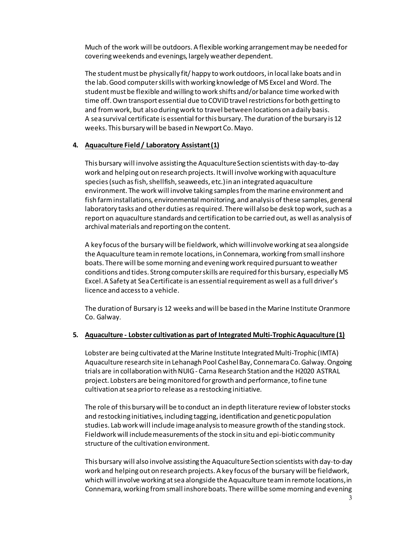Much of the work will be outdoors. A flexible working arrangement may be needed for covering weekends and evenings, largely weather dependent.

The student must be physically fit/ happy to work outdoors, in local lake boats and in the lab. Good computer skills with working knowledge of MS Excel and Word. The student must be flexible and willing to work shifts and/or balance time worked with time off.Own transport essential due to COVID travel restrictions for both getting to and from work, but also during work to travel between locations on a daily basis. A sea survival certificate is essential for this bursary. The duration of the bursary is 12 weeks. This bursary will be based in Newport Co. Mayo.

#### **4. Aquaculture Field / Laboratory Assistant (1)**

This bursary will involve assisting the Aquaculture Section scientists with day-to-day work and helping out on research projects. It will involve working with aquaculture species (such as fish, shellfish, seaweeds, etc.) in an integrated aquaculture environment. The work will involve taking samples from the marine environment and fish farm installations, environmental monitoring, and analysis of these samples, general laboratory tasks and other duties as required. There will also be desk top work, such as a report on aquaculture standards and certification to be carried out, as well as analysis of archival materials and reporting on the content.

A key focus of the bursary will be fieldwork, which will involve working at sea alongside the Aquaculture team in remote locations, in Connemara, working from small inshore boats. There will be some morning and evening work required pursuant to weather conditions and tides. Strong computer skills are required for this bursary, especially MS Excel. A Safety at Sea Certificate is an essential requirement as well as a full driver's licence and access to a vehicle.

The duration of Bursary is 12 weeks and will be based in the Marine Institute Oranmore Co. Galway.

#### **5. Aquaculture - Lobster cultivation as part of Integrated Multi-Trophic Aquaculture (1)**

Lobster are being cultivated at the Marine Institute Integrated Multi-Trophic (IMTA) Aquaculture research site in Lehanagh Pool Cashel Bay, Connemara Co. Galway. Ongoing trials are in collaboration with NUIG - Carna Research Station and the H2020 ASTRAL project. Lobsters are being monitored for growth and performance, to fine tune cultivation at sea prior to release as a restocking initiative.

The role of this bursary will be to conduct an in depth literature review of lobster stocks and restocking initiatives, including tagging, identification and genetic population studies. Lab work will include image analysis to measure growth of the standing stock. Fieldwork will include measurements of the stock in situ and epi-biotic community structure of the cultivation environment.

This bursary will also involve assisting the Aquaculture Section scientists with day-to-day work and helping out on research projects. A key focus of the bursary will be fieldwork, which will involve working at sea alongside the Aquaculture team in remote locations, in Connemara, working from small inshore boats. There will be some morning and evening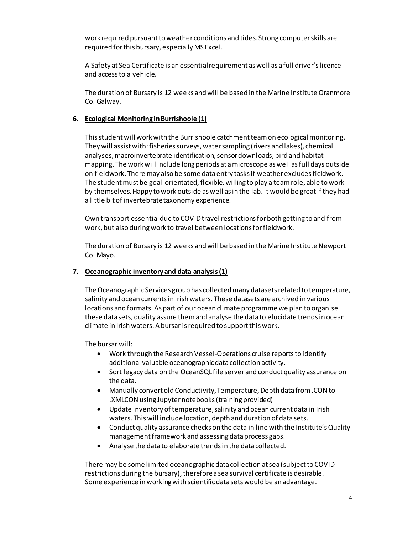work required pursuant to weather conditions and tides. Strong computer skills are required for this bursary, especially MS Excel.

A Safety at Sea Certificate is an essential requirement as well as a full driver's licence and access to a vehicle.

The duration of Bursary is 12 weeks and will be based in the Marine Institute Oranmore Co. Galway.

## **6. Ecological Monitoring in Burrishoole (1)**

This student will work with the Burrishoole catchment team on ecological monitoring. They will assist with: fisheries surveys, water sampling (rivers and lakes), chemical analyses, macroinvertebrate identification, sensor downloads, bird and habitat mapping. The work will include long periods at a microscope as well as full days outside on fieldwork. There may also be some data entry tasks if weather excludes fieldwork. The student must be goal-orientated, flexible, willing to play a team role, able to work by themselves. Happy to work outside as well as in the lab. It would be great if they had a little bit of invertebrate taxonomy experience.

Own transport essential due to COVID travel restrictions for both getting to and from work, but also during work to travel between locations for fieldwork.

The duration of Bursary is 12 weeks and will be based in the Marine Institute Newport Co. Mayo.

# **7. Oceanographic inventory and data analysis (1)**

The Oceanographic Services group has collected many datasets related to temperature, salinity and ocean currents in Irish waters. These datasets are archived in various locations and formats. As part of our ocean climate programme we plan to organise these data sets, quality assure them and analyse the data to elucidate trends in ocean climate in Irish waters. A bursar is required to support this work.

The bursar will:

- Work through the Research Vessel-Operations cruise reports to identify additional valuable oceanographic data collection activity.
- Sort legacy data on the OceanSQL file server and conduct quality assurance on the data.
- Manually convert old Conductivity, Temperature, Depth data from .CON to .XMLCON using Jupyter notebooks (training provided)
- Update inventory of temperature,salinity and ocean current data in Irish waters. This will include location, depth and duration of data sets.
- Conduct quality assurance checks on the data in line with the Institute's Quality management framework and assessing data process gaps.
- Analyse the data to elaborate trends in the data collected.

There may be some limited oceanographic data collection at sea (subject to COVID restrictions during the bursary), therefore a sea survival certificate is desirable. Some experience in working with scientific data sets would be an advantage.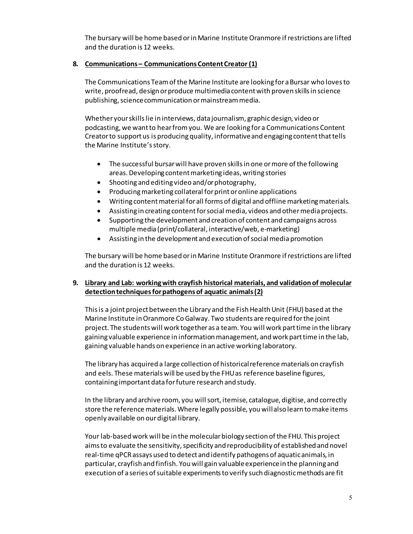The bursary will be home based or in Marine Institute Oranmore if restrictions are lifted and the duration is 12 weeks.

## **8. Communications – Communications Content Creator (1)**

The Communications Team of the Marine Institute are looking for a Bursar who loves to write, proofread, design or produce multimedia content with proven skills in science publishing, science communication or mainstream media.

Whether your skills lie in interviews, data journalism, graphic design, video or podcasting, we want to hear from you. We are looking for a Communications Content Creator to support us is producing quality, informative and engaging content that tells the Marine Institute's story.

- The successful bursar will have proven skills in one or more of the following areas. Developing content marketing ideas, writing stories
- Shooting and editing video and/or photography,
- Producing marketing collateral for print or online applications
- Writing content material for all forms of digital and offline marketing materials.
- Assisting in creating content for social media, videos and other media projects.
- Supporting the development and creation of content and campaigns across multiple media (print/collateral, interactive/web, e-marketing)
- Assisting in the development and execution of social media promotion

The bursary will be home based or in Marine Institute Oranmore if restrictions are lifted and the duration is 12 weeks.

# **9. Library and Lab: working with crayfish historical materials, and validation of molecular detection techniques for pathogens of aquatic animals (2)**

This is a joint project between the Library and the Fish Health Unit (FHU) based at the Marine Institute in Oranmore Co Galway. Two students are required for the joint project. The students will work together as a team. You will work part time in the library gaining valuable experience in information management, and work part time in the lab, gaining valuable hands on experience in an active working laboratory.

The library has acquired a large collection of historical reference materials on crayfish and eels. These materials will be used by the FHU as reference baseline figures, containing important data for future research and study.

In the library and archive room, you will sort, itemise, catalogue, digitise, and correctly store the reference materials. Where legally possible, you will also learn to make items openly available on our digital library.

Your lab-based work will be in the molecular biology section of the FHU. This project aims to evaluate the sensitivity, specificity and reproducibility of established and novel real-time qPCR assays used to detect and identify pathogens of aquatic animals, in particular, crayfish and finfish. You will gain valuable experience in the planning and execution of a series of suitable experiments to verify such diagnostic methods are fit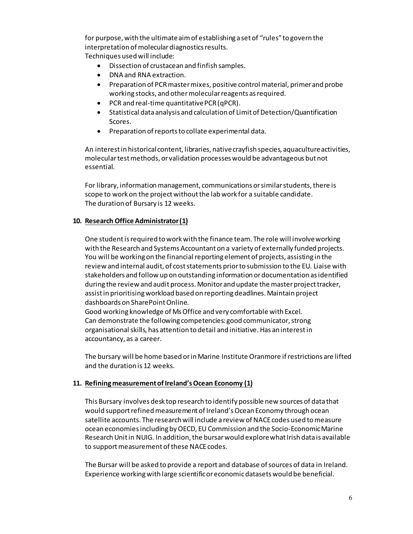for purpose, with the ultimate aim of establishing a set of "rules" to govern the interpretation of molecular diagnostics results. Techniques used will include:

- Dissection of crustacean and finfish samples.
- DNA and RNA extraction.
- Preparation of PCR master mixes, positive control material, primer and probe working stocks, and other molecular reagents as required.
- PCR and real-time quantitative PCR (qPCR).
- Statistical data analysis and calculation of Limit of Detection/Quantification Scores.
- Preparation of reports to collate experimental data.

An interest in historical content, libraries, native crayfish species, aquaculture activities, molecular test methods, or validation processes would be advantageous but not essential.

For library, information management, communications or similar students, there is scope to work on the project without the lab work for a suitable candidate. The duration of Bursary is 12 weeks.

## **10. Research Office Administrator(1)**

One student is required to work with the finance team. The role will involve working with the Research and Systems Accountant on a variety of externally funded projects. You will be working on the financial reporting element of projects, assisting in the review and internal audit, of cost statements prior to submission to the EU. Liaise with stakeholders and follow up on outstanding information or documentation as identified during the review and audit process. Monitor and update the master project tracker, assist in prioritising workload based on reporting deadlines. Maintain project dashboards on SharePoint Online.

Good working knowledge of Ms Office and very comfortable with Excel. Can demonstrate the following competencies: good communicator, strong organisational skills, has attention to detail and initiative. Has an interest in accountancy, as a career.

The bursary will be home based or in Marine Institute Oranmore if restrictions are lifted and the duration is 12 weeks.

#### **11. Refining measurement of Ireland's Ocean Economy (1)**

This Bursary involves desk top research to identify possible new sources of data that would support refined measurement of Ireland's Ocean Economy through ocean satellite accounts. The research will include a review of NACE codes used to measure ocean economies including by OECD, EU Commission and the Socio-Economic Marine Research Unit in NUIG. In addition, the bursar would explore what Irish data is available to support measurement of these NACE codes.

The Bursar will be asked to provide a report and database of sources of data in Ireland. Experience working with large scientific or economic datasets would be beneficial.